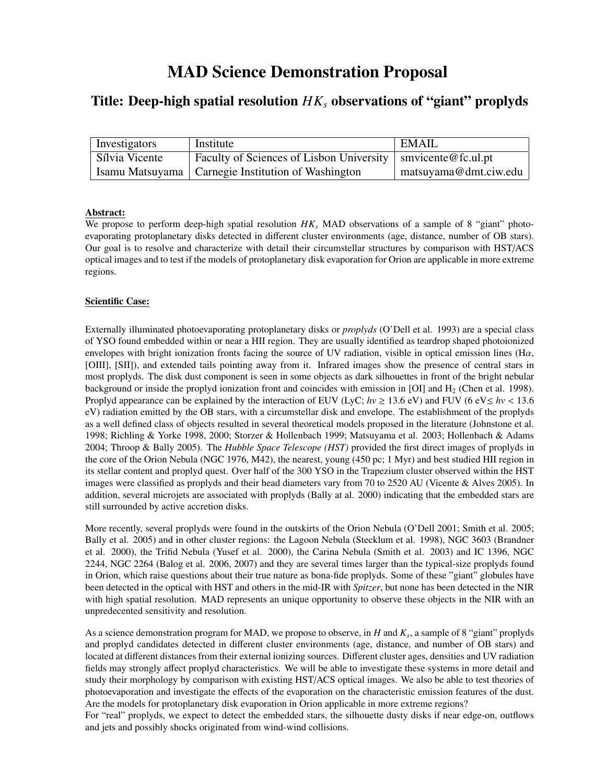# MAD Science Demonstration Proposal

# Title: Deep-high spatial resolution *HK<sup>s</sup>* observations of "giant" proplyds

| Investigators  | Institute                                                           | EMAIL                 |
|----------------|---------------------------------------------------------------------|-----------------------|
| Sílvia Vicente | Faculty of Sciences of Lisbon University $\vert$ smvicente@fc.ul.pt |                       |
|                | Isamu Matsuyama   Carnegie Institution of Washington                | matsuyama@dmt.ciw.edu |

# Abstract:

We propose to perform deep-high spatial resolution  $HK_s$  MAD observations of a sample of 8 "giant" photoevaporating protoplanetary disks detected in different cluster environments (age, distance, number of OB stars). Our goal is to resolve and characterize with detail their circumstellar structures by comparison with HST/ACS optical images and to test if the models of protoplanetary disk evaporation for Orion are applicable in more extreme regions.

# Scientific Case:

Externally illuminated photoevaporating protoplanetary disks or *proplyds* (O'Dell et al. 1993) are a special class of YSO found embedded within or near a HII region. They are usually identified as teardrop shaped photoionized envelopes with bright ionization fronts facing the source of UV radiation, visible in optical emission lines (H $\alpha$ , [OIII], [SII]), and extended tails pointing away from it. Infrared images show the presence of central stars in most proplyds. The disk dust component is seen in some objects as dark silhouettes in front of the bright nebular background or inside the proplyd ionization front and coincides with emission in [OI] and  $H<sub>2</sub>$  (Chen et al. 1998). Proplyd appearance can be explained by the interaction of EUV (LyC;  $hv \ge 13.6$  eV) and FUV (6 eV  $\le hv < 13.6$ ) eV) radiation emitted by the OB stars, with a circumstellar disk and envelope. The establishment of the proplyds as a well defined class of objects resulted in several theoretical models proposed in the literature (Johnstone et al. 1998; Richling & Yorke 1998, 2000; Storzer & Hollenbach 1999; Matsuyama et al. 2003; Hollenbach & Adams 2004; Throop & Bally 2005). The *Hubble Space Telescope (HST)* provided the first direct images of proplyds in the core of the Orion Nebula (NGC 1976, M42), the nearest, young (450 pc; 1 Myr) and best studied HII region in its stellar content and proplyd quest. Over half of the 300 YSO in the Trapezium cluster observed within the HST images were classified as proplyds and their head diameters vary from 70 to 2520 AU (Vicente & Alves 2005). In addition, several microjets are associated with proplyds (Bally at al. 2000) indicating that the embedded stars are still surrounded by active accretion disks.

More recently, several proplyds were found in the outskirts of the Orion Nebula (O'Dell 2001; Smith et al. 2005; Bally et al. 2005) and in other cluster regions: the Lagoon Nebula (Stecklum et al. 1998), NGC 3603 (Brandner et al. 2000), the Trifid Nebula (Yusef et al. 2000), the Carina Nebula (Smith et al. 2003) and IC 1396, NGC 2244, NGC 2264 (Balog et al. 2006, 2007) and they are several times larger than the typical-size proplyds found in Orion, which raise questions about their true nature as bona-fide proplyds. Some of these "giant" globules have been detected in the optical with HST and others in the mid-IR with *Spitzer*, but none has been detected in the NIR with high spatial resolution. MAD represents an unique opportunity to observe these objects in the NIR with an unpredecented sensitivity and resolution.

As a science demonstration program for MAD, we propose to observe, in *H* and *K<sup>s</sup>* , a sample of 8 "giant" proplyds and proplyd candidates detected in different cluster environments (age, distance, and number of OB stars) and located at different distances from their external ionizing sources. Different cluster ages, densities and UV radiation fields may strongly affect proplyd characteristics. We will be able to investigate these systems in more detail and study their morphology by comparison with existing HST/ACS optical images. We also be able to test theories of photoevaporation and investigate the effects of the evaporation on the characteristic emission features of the dust. Are the models for protoplanetary disk evaporation in Orion applicable in more extreme regions?

For "real" proplyds, we expect to detect the embedded stars, the silhouette dusty disks if near edge-on, outflows and jets and possibly shocks originated from wind-wind collisions.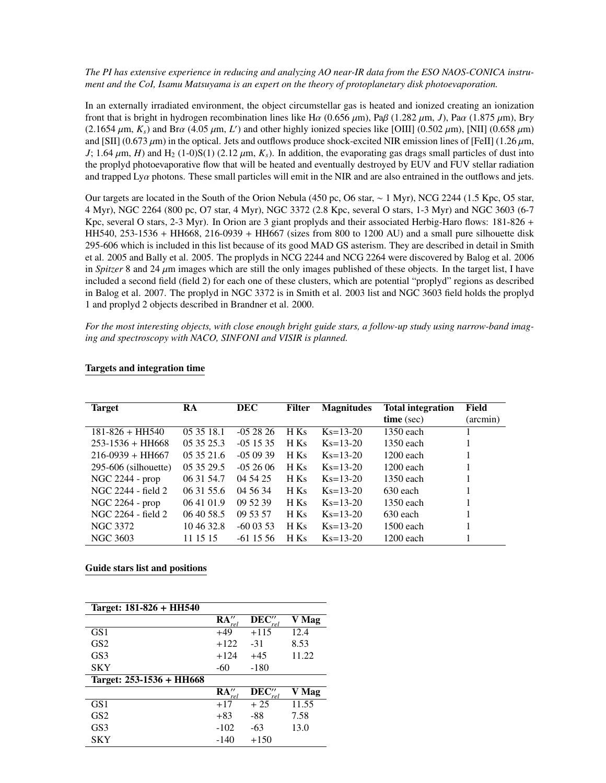## *The PI has extensive experience in reducing and analyzing AO near-IR data from the ESO NAOS-CONICA instrument and the CoI, Isamu Matsuyama is an expert on the theory of protoplanetary disk photoevaporation.*

In an externally irradiated environment, the object circumstellar gas is heated and ionized creating an ionization front that is bright in hydrogen recombination lines like H $\alpha$  (0.656  $\mu$ m), Pa $\beta$  (1.282  $\mu$ m, *J*), Pa $\alpha$  (1.875  $\mu$ m), Br $\gamma$  $(2.1654 \,\mu \text{m}, K_s)$  and Br $\alpha$  (4.05  $\mu$ m, *L'*) and other highly ionized species like [OIII] (0.502  $\mu$ m), [NII] (0.658  $\mu$ m) and [SII] (0.673  $\mu$ m) in the optical Lets and outflows produce shock-excited NIR emissio and [SII] (0.673  $\mu$ m) in the optical. Jets and outflows produce shock-excited NIR emission lines of [FeII] (1.26  $\mu$ m,  $J$ ; 1.64  $\mu$ m, *H*) and H<sub>2</sub> (1-0)S(1) (2.12  $\mu$ m,  $K_s$ ). In addition, the evaporating gas drags small particles of dust into the proplyd photoevaporative flow that will be heated and eventually destroyed by EUV and FUV stellar radiation and trapped  $Ly\alpha$  photons. These small particles will emit in the NIR and are also entrained in the outflows and jets.

Our targets are located in the South of the Orion Nebula (450 pc, O6 star, ∼ 1 Myr), NCG 2244 (1.5 Kpc, O5 star, 4 Myr), NGC 2264 (800 pc, O7 star, 4 Myr), NGC 3372 (2.8 Kpc, several O stars, 1-3 Myr) and NGC 3603 (6-7 Kpc, several O stars, 2-3 Myr). In Orion are 3 giant proplyds and their associated Herbig-Haro flows: 181-826 + HH540, 253-1536 + HH668, 216-0939 + HH667 (sizes from 800 to 1200 AU) and a small pure silhouette disk 295-606 which is included in this list because of its good MAD GS asterism. They are described in detail in Smith et al. 2005 and Bally et al. 2005. The proplyds in NCG 2244 and NCG 2264 were discovered by Balog et al. 2006 in *Spitzer* 8 and 24 µm images which are still the only images published of these objects. In the target list, I have included a second field (field 2) for each one of these clusters, which are potential "proplyd" regions as described in Balog et al. 2007. The proplyd in NGC 3372 is in Smith et al. 2003 list and NGC 3603 field holds the proplyd 1 and proplyd 2 objects described in Brandner et al. 2000.

*For the most interesting objects, with close enough bright guide stars, a follow-up study using narrow-band imaging and spectroscopy with NACO, SINFONI and VISIR is planned.*

| <b>Target</b>          | RA         | DEC        | Filter | <b>Magnitudes</b> | <b>Total integration</b> | Field    |
|------------------------|------------|------------|--------|-------------------|--------------------------|----------|
|                        |            |            |        |                   | $time$ (sec)             | (arcmin) |
| $181 - 826 + HH540$    | 05 35 18.1 | $-0.52826$ | H Ks   | $Ks = 13 - 20$    | 1350 each                |          |
| $253 - 1536 + HH668$   | 05 35 25.3 | $-0.51535$ | H Ks   | $Ks = 13-20$      | $1350$ each              |          |
| $216-0939 + HH667$     | 05 35 21.6 | $-050939$  | H Ks   | $Ks = 13-20$      | $1200$ each              |          |
| $295-606$ (silhouette) | 05 35 29.5 | $-0.52606$ | H Ks   | $Ks = 13-20$      | $1200$ each              |          |
| NGC $2244 - prop$      | 06 31 54.7 | 04 54 25   | H Ks   | $Ks = 13-20$      | 1350 each                |          |
| NGC 2244 - field 2     | 06 31 55.6 | 04 56 34   | H Ks   | $Ks = 13-20$      | 630 each                 |          |
| NGC 2264 - prop        | 06 41 01.9 | 09 52 39   | H Ks   | $Ks = 13-20$      | $1350$ each              |          |
| NGC 2264 - field 2     | 06 40 58.5 | 09 53 57   | H Ks   | $Ks = 13-20$      | $630$ each               |          |
| NGC 3372               | 10 46 32.8 | $-600353$  | H Ks   | $Ks = 13 - 20$    | $1500$ each              |          |
| NGC 3603               | 11 15 15   | $-611556$  | H Ks   | $Ks = 13 - 20$    | $1200$ each              |          |

### Targets and integration time

#### Guide stars list and positions

| Target: 181-826 + HH540  |                       |               |       |
|--------------------------|-----------------------|---------------|-------|
|                          | $\mathbf{RA}''_{rel}$ | $DEC''_{rel}$ | V Mag |
| GS <sub>1</sub>          | $+49$                 | $+115$        | 12.4  |
| GS2                      | $+122$                | $-31$         | 8.53  |
| GS <sub>3</sub>          | $+124$                | $+45$         | 11.22 |
| <b>SKY</b>               | -60                   | $-180$        |       |
| Target: 253-1536 + HH668 |                       |               |       |
|                          | RA''<br>rel           | $DEC''_{rel}$ | V Mag |
| GS1                      | $+17$                 | $+25$         | 11.55 |
| GS <sub>2</sub>          | $+83$                 | -88           | 7.58  |
| GS <sub>3</sub>          | $-102$                | -63           | 13.0  |
| SKY                      | -140                  | $+150$        |       |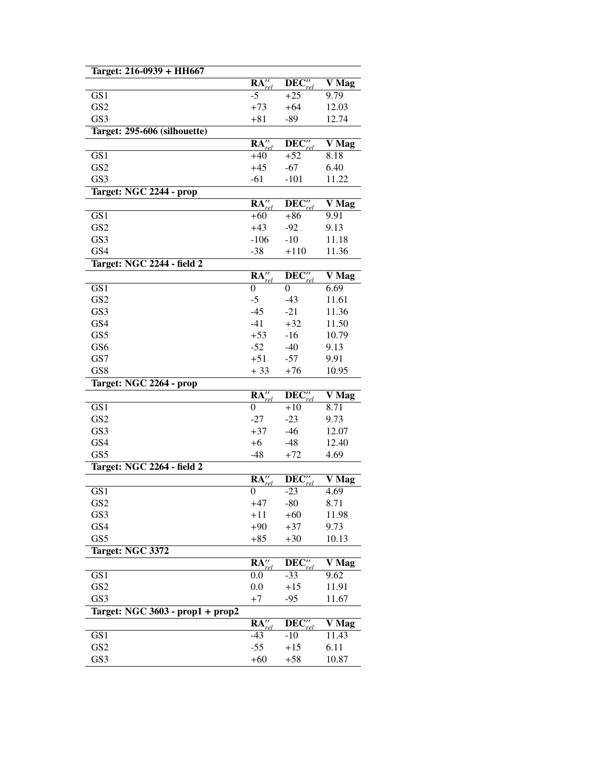| Target: 216-0939 + HH667                                                                     |                                         |                                     |                                          |
|----------------------------------------------------------------------------------------------|-----------------------------------------|-------------------------------------|------------------------------------------|
|                                                                                              | $\overline{\mathbf{RA}''_{rel}}$        | $\overline{\text{DEC}''_{rel}}$     | V Mag                                    |
| GS1                                                                                          | $-5$                                    | $+25$                               | 9.79                                     |
| GS <sub>2</sub>                                                                              | $+73$                                   | $+64$                               | 12.03                                    |
| GS3                                                                                          | $+81$                                   | $-89$                               | 12.74                                    |
| Target: 295-606 (silhouette)                                                                 |                                         |                                     |                                          |
|                                                                                              | $\overline{\mathbf{RA}''_{rel}}$        | $DEC''_{rel}$                       | V Mag                                    |
| GS1                                                                                          | $+40$                                   | $+52$                               | 8.18                                     |
| GS <sub>2</sub>                                                                              | $+45$                                   | $-67$                               | 6.40                                     |
| GS3                                                                                          | $-61$                                   | $-101$                              | 11.22                                    |
| Target: NGC 2244 - prop                                                                      |                                         |                                     |                                          |
|                                                                                              | $\mathbf{RA}''_{rel}$                   | DEC''                               | V Mag                                    |
| GS <sub>1</sub>                                                                              | $+60$                                   | $+86$                               | 9.91                                     |
| GS <sub>2</sub>                                                                              | $+43$                                   | $-92$                               | 9.13                                     |
| GS3                                                                                          | $-106$                                  | $-10$                               | 11.18                                    |
| GS4                                                                                          | $-38$                                   | $+110$                              | 11.36                                    |
|                                                                                              |                                         |                                     |                                          |
| Target: NGC 2244 - field 2                                                                   | RA''                                    |                                     |                                          |
|                                                                                              |                                         | $\mathbf{DEC}_{rel}^{\prime\prime}$ | V Mag<br>6.69                            |
| GS1<br>GS <sub>2</sub>                                                                       | 0<br>$-5$                               | 0                                   |                                          |
|                                                                                              |                                         | $-43$                               | 11.61                                    |
| GS3                                                                                          | $-45$                                   | $-21$                               | 11.36                                    |
| GS4                                                                                          | $-41$                                   | $+32$                               | 11.50                                    |
| GS5                                                                                          | $+53$                                   | $-16$                               | 10.79                                    |
| GS <sub>6</sub>                                                                              | $-52$                                   | $-40$                               | 9.13                                     |
| GS7                                                                                          | $+51$                                   | $-57$                               | 9.91                                     |
| GS <sub>8</sub>                                                                              | $+33$                                   | $+76$                               | 10.95                                    |
| Target: NGC 2264 - prop                                                                      |                                         |                                     |                                          |
|                                                                                              | $R\overline{A''}$<br>rel                | $\overline{\text{DEC}''_{rel}}$     | V Mag                                    |
| GS1                                                                                          | 0                                       | $+10$                               | 8.71                                     |
| GS <sub>2</sub>                                                                              | $-27$                                   | $-23$                               | 9.73                                     |
| GS3                                                                                          | $+37$                                   | $-46$                               | 12.07                                    |
| GS4                                                                                          | $+6$                                    | $-48$                               | 12.40                                    |
| GS5                                                                                          | $-48$                                   | $+72$                               | 4.69                                     |
| Target: NGC 2264 - field 2                                                                   |                                         |                                     |                                          |
|                                                                                              | RA''                                    | DEC''<br>rel                        | V Mag                                    |
| $\overline{GS1}$                                                                             | 0                                       | -23                                 | 4.69                                     |
| GS2                                                                                          | $+47$                                   | -80                                 | 8.71                                     |
| GS3                                                                                          | $+11$                                   | $+60$                               | 11.98                                    |
| GS4                                                                                          | $+90$                                   | $+37$                               | 9.73                                     |
|                                                                                              |                                         |                                     |                                          |
|                                                                                              | $+85$                                   | $+30$                               | 10.13                                    |
|                                                                                              |                                         |                                     |                                          |
|                                                                                              |                                         |                                     |                                          |
|                                                                                              | $\overline{\mathbf{RA}''}_{rel}$<br>0.0 | $DEC''_{rel}$<br>$-33$              | 9.62                                     |
|                                                                                              | 0.0                                     | $+15$                               | 11.91                                    |
|                                                                                              | $+7$                                    | $-95$                               | 11.67                                    |
|                                                                                              |                                         |                                     |                                          |
| GS5<br>Target: NGC 3372<br>GS1<br>GS <sub>2</sub><br>GS3<br>Target: NGC 3603 - prop1 + prop2 | RA''                                    |                                     |                                          |
|                                                                                              |                                         | $DEC''_n$                           |                                          |
| GS1                                                                                          | $-43$                                   | $-10$                               | $\overline{\bf V}$ Mag<br>V Mag<br>11.43 |
| GS <sub>2</sub><br>GS3                                                                       | $-55$<br>$+60$                          | $+15$<br>$+58$                      | 6.11<br>10.87                            |